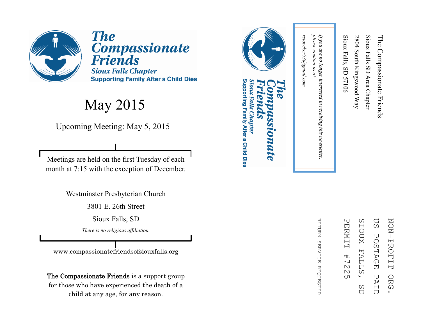

**The** Compassionate<br>Friends **Sioux Falls Chapter Supporting Family After a Child Dies** 

#### May 2015

Upcoming Meeting: May 5, 2015

Meetings are held on the first Tuesday of each month at 7:15 with the exception of December.

Westminster Presbyterian Church

3801 E. 26th Street

Sioux Falls, SD

*There is no religious affiliation.*

www.compassionatefriendsofsiouxfalls.org

The Compassionate Friends is a support group for those who have experienced the death of a child at any age, for any reason.



*rstoecker53@gmail.com*

rstoecker53@gmail.com

*please contact us at:* 

please contact us at:

*If you are no longer interested in receiving this newsletter,* 

in receiving this newsletter,

If you are no longer interested

Sioux Falls, SD 57106

Sioux Falls, SD 57106

2804 South Kingswood Way

2804 South Kingswood Way

Sioux Falls SD Area Chapter

Sioux Falls SD Area Chapter

The Compassionate Friends

The Compassionate Friends

#### Supporting Family After a Child Dies Sioux Falls Chapter **DIDATE**

ΩS SIOUX **NON-PROFIT** ZOZI PROFIT ORG. PERNIT PERMIT #7225 SIOUX FALLS, SD US POSTAGE PAID**POSTAGE FALL**  $#$  $\frac{1}{2}$  $\mathbbmss{N}$ Ω PAI ORG  $\overline{(\Pi)}$ C)  $\overline{C}$  $\overline{C}$ 

**RETDRN** REFURN SERVICE REQUESTED **SERVICE REQUESTED**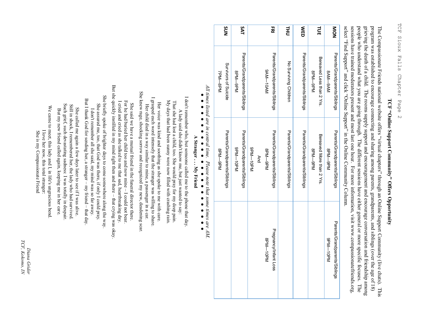# TCF "Online Support Community" Offers Opportunity **TCF "Online Support Community" Offers Opportunity**

people who understand what you are going through. The different sessions have either general or more specific focuses. grieving the death of a child. The rooms supply support and encouragement and encourage conversation and friendship among program was established to encourage connecting and sharing among parents, grandparents, and siblings (over the age of 18) sessions have trained moderators present and most last one hour. For more information, visit www.compassionatefriends.org, people who understand what you are going through. The different sessions have either general or more specific focuses. The program was established to encourage connecting and sharing among parents, grandparents, and siblings (over the age of 18) The Compassionate Friends national website offers "virtual chapters" through an Online Support Community (live chats). This select "sessions have trained moderators present and most last one hour. For more information, visit www.compassionatefriends.org, grieving the death of a child. The rooms supply support and encouragement and encourage conversation and friendship among The Compassionate Friends national website offers Find Support" and click "Online Support" in the Online Community Column. virtual chapters" through an Online Support Community (live chats). This  $\Gamma$ he

| NNS                                      | <b>SAT</b>                                            |                        | 공               |                               | <b>HIO</b>                    | <b>NED</b>                    |         | 1d                        |                 | NON                           |
|------------------------------------------|-------------------------------------------------------|------------------------|-----------------|-------------------------------|-------------------------------|-------------------------------|---------|---------------------------|-----------------|-------------------------------|
| Survivors of Suicide<br>7PM-8PM          | Parents/Grandparents/Siblings<br>Nd <sub>0</sub> -Md8 |                        | <b>NA01-MA0</b> | Parents/Grandparents/Siblings | No Surviving Children         | Parents/Grandparents/Siblings | 8PM-9PM | Bereaved Less than 2 Yrs. | NA0-MAS         | Parents/Grandparents/Siblings |
| Parents/Grandparents/Siblings<br>8PM-9PM | Parents/Grandparents/Siblings<br><b>Nd01-Md6</b>      | <b>Nd01-Md6</b><br>And | 8PM-9PM         | Parents/Grandparents/Siblings | Parents/Grandparents/Siblings | Parents/Grandparents/Siblings | 8PM-9PM | Bereaved More than 2 Yrs. | 8PM-9PM         | Parents/Grandparents/Siblings |
|                                          |                                                       |                        | <b>Nd01-Nd8</b> | Pregnancy/Infant Loss         |                               |                               |         |                           | <b>Nd01-Md6</b> | Parents/Grandparents/Siblings |

### All times listed are in central time. Please note that some times are AM.<br>  $\bullet \bullet \bullet \bullet \bullet \bullet \bullet \bullet \bullet \bullet \bullet \bullet \bullet \bullet \bullet \bullet$ *All times listed are in central time. Please note that some times are AM.* A Stranger ... My Friend **A Stranger . . . My Friend**

I don't remember who, but someone called me to the phone that day I don't remember who, but someone called me to the phone that day. A lady said she didn't know me, but just wanted to say: A lady said she didn't know me, but just wanted to say:

My days that had been sunny were now filled with crashing rain. That she had lost a child, too. She would pray for my deep pain. My days that had been sunny were now filled with crashing rain. That she had lost a child, too. She would pray for my deep pain.

I grasped each word intensely that the stranger was willing to share I grasped each word intensely that the stranger was willing to share. Her voice was kind and soothing as she spoke to me with care Her voice was kind and soothing as she spoke to me with care. Her child died in a way similar to mine, a passenger in a car. Her child died in a way similar to mine, a passenger in a car.

She knew rage, shocking sorrow and recognized my new, deadening scar. She knew rage, shocking sorrow and recognized my new, deadening scar. For he had buried her child too and now mine - I could not bear. For he had buried her child too and now mine – She said we have a mutual friend in the funeral director there. She said we have a mutual friend in the funeral director there. I could not bear.

But she quickly instilled in my mind right then and there - that crying was okay But she quickly instilled in my mind right then and there – She briefly spoke of brighter days to come somewhere along the way. I cried and cried as she talked to me that sad, heartbreaking day. I cried and cried as she talked to me that sad, heartbreaking day. that crying was okay.

She briefly spoke of brighter days to come somewhere along the way But I thank God for sending her, a stranger – my friend – that day But I thank God for sending her, a stranger – She assured me, too, that God was there, if only I could pray. She assured me, too, that God was there, if only I could pray. I don't remember all she said, my mind was so far away. I don't remember all she said, my mind was so far away. my friend –

Such grief, such devastating sadness: I was totally in despair Such grief, such devastating sadness: I was totally in despair. Still in shock, I remembered her, the lady who had survived. Still in shock, I remembered her, the lady who had survived. She called me again a few days later to see if I was alive But my new friend called again, keeping me in her care She called me again a few days later to see if I was alive. But my new friend called again, keeping me in her care.

We came to meet, this lady and I, in life's ungracious bend We came to meet, this lady and I, in life's ungracious bend. I love her now, this total stranger: She is my Compassionate Friend I love her now, this total stranger: She is my Compassionate Friend

TCF, Kokomo, IN *TCF, Kokomo, IN*Diana Grider *Diana Grider*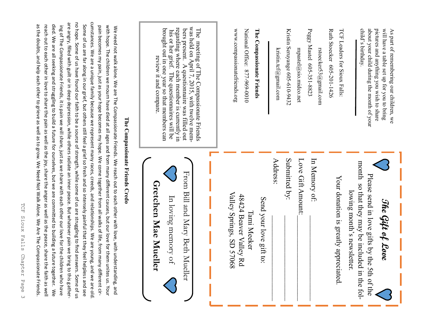| ŀ<br>$\mathcal{L}_{\mathcal{L}}$<br>h                                                             |
|---------------------------------------------------------------------------------------------------|
| W<br>$\mathsf{r}$<br>j<br>۲<br>ء<br>i                                                             |
| 吋<br>ω<br>$\overline{\phantom{0}}$<br>ŀ<br>$\mathsf{I}$<br>ï<br>ζD                                |
| O<br>ı<br>I<br>D<br>Ç<br>Ś<br>ŀ<br>₹<br>$\mathbf$<br>t<br>j<br>$\overline{\phantom{a}}$<br>ŀ<br>ζ |
| ľ<br>₫<br>رَم<br>Ω<br>$\mathbb{O}$                                                                |
| $\overline{ }$<br>$\mathbf{r}$<br>١                                                               |

cumstances. We are a unique family because we represent many races, creeds, and relationships. We are young, and we are old are angry, filled with guilt or in deep depression, while others radiate an inner peace. But whatever pain we bring to this gatherno hope. Some of us have found our faith to be a source of strength, while some of us are struggling to find answers. Some of us cumstances. We are a unique family because we represent many races, creeds, and relationships. We are young, and we are old. are angry, filled with guilt or in deep depression, while others radiate an inner peace. But whatever pain we bring to this gatherno hope. Some of us have found our faith to be a source of strength, while some of us are struggling to find answers. Some of as the doubts, and help each other to grieve as well as to grow. We Need Not Walk Alone. We Are The Compassionate Friends. reach out to each other in love to share the pain as well as the joy, share the anger as well as the peace, share the faith as well died. We are all seeking and struggling to build a future for ourselves, but we are committed to building a future together. We Some of us are far along in our grief, but others still feel a grief so fresh and so intensely painful that they feel helpless and see as the doubts, and help each other to grieve as well as to grow. We Need Not Walk Alone. We Are The Compassionate Friends. reach out to each other in love to share the pain as well as the joy, share the anger as well as the peace, share the faith as well died. We are all seeking and struggling to build a future for ourselves, but we are committed to building a future together. ing of The Compassionate Friends, it is pain we will share, just as we share with each other our love for the children who have Some of us are far along in our grief, but others still feel a grief so fresh and so intensely painful that they feel helpless and see pain becomes my pain, just as your hope becomes my hope. We come together from all walks of life, from many different cirwith hope. The children we mourn have died at all ages and from many different causes, but on the died at all ages using the move for the move for the move for the many different causes, but on the move for the move for th ing Of The Compassionate Friends, it is pain we will share, just as we share with each other our love for the children who have  $\kappa$ pain becomes my pain, just as your hope becomes my hope. We come together from all walks of life, from many different cir-We need not walk alone. We are The Compassionate Friends. We reach out to each other with love, with understanding, and

| with pope. The children we mouth prove died at all ages and from manx different causes, but our love for them unities us. Your<br>Se reed pore . Se are The Compassionate Friends. We reach out to each other with love, with understanding, and<br>The Compassionate Friends Credo |                                                                                                                                                                                                                                                                                                                |
|-------------------------------------------------------------------------------------------------------------------------------------------------------------------------------------------------------------------------------------------------------------------------------------|----------------------------------------------------------------------------------------------------------------------------------------------------------------------------------------------------------------------------------------------------------------------------------------------------------------|
|                                                                                                                                                                                                                                                                                     |                                                                                                                                                                                                                                                                                                                |
| From Bill and Mary Beth N<br>Gretchen Mae Muel<br>In loving memory of<br>lueller<br>ler                                                                                                                                                                                             | The meeting of The Compassionate Friends<br>was held on April 7, 2015, with twelve mem-<br>regarding where each member is currently in<br>brought out in one year so that members can<br>bers present. A questionnaire was filled out<br>his or her grief. The questionnaires will be<br>review it and compare |
| Valley Springs, SD 570<br>48424 Beaver Valley Rd<br>Send your love gift to:<br>Tami Meeker<br>89                                                                                                                                                                                    | www.compassionatefriends.org<br>National Office: 877-969-0010<br>The Compassionate Friends                                                                                                                                                                                                                     |
| Submitted by:<br>Address:                                                                                                                                                                                                                                                           | Kristin Seruyange 605-610-9432<br>kristin.tcf@gmail.com                                                                                                                                                                                                                                                        |
| In Memory of:<br>Love Gift Amount:                                                                                                                                                                                                                                                  | Peggy Mastel 605-351-8823<br>mpastel@sio.midco.net<br>rstoecker53@gmail.com                                                                                                                                                                                                                                    |
| Your donation is greatly appreciated.                                                                                                                                                                                                                                               | Ruth Stoecker 605-201-1426<br>TCF Leaders for Sioux Falls:                                                                                                                                                                                                                                                     |
| month so that they may be includ<br>Please send in love gifts by the<br>lowing month's newsletter.<br>The Gift of Love<br>ie 5th of the<br>led in the fol-                                                                                                                          | child's birthday.<br>about your child during the month of your<br>pictures and anything you wish to share<br>will have a table set up for you to bring<br>As part of remembering our children, we                                                                                                              |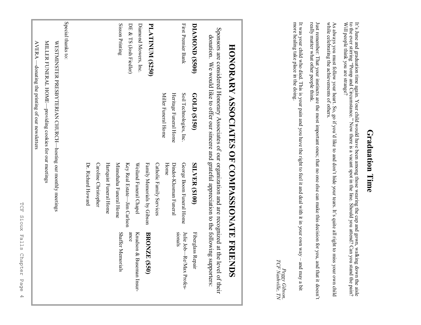|                         |                                                              | HONORARY ASSOCIATES OF COMPASSIONATE FRIENDS                                                                                                                                                                    |                                        |
|-------------------------|--------------------------------------------------------------|-----------------------------------------------------------------------------------------------------------------------------------------------------------------------------------------------------------------|----------------------------------------|
|                         |                                                              | Sponsors are considered Honorary Associates of our organization and are recognized at the level of their<br>donation. We would like to offer our sincere and grateful appreciation to the following supporters: |                                        |
| DIAMOND (\$500)         | GOLD (\$150)                                                 | <b>SILVER (\$100)</b>                                                                                                                                                                                           | Fiberglass Repair                      |
| First Premier Bank      | Soil Technologies, Inc.                                      | George Boom Funeral Home                                                                                                                                                                                        | Julie Job $\rightarrow$ KeyMax Profes- |
|                         | Heritage Funeral Home                                        | Dindot-Klusman Funeral                                                                                                                                                                                          | sionals                                |
|                         | Miller Funeral Home                                          | Home                                                                                                                                                                                                            |                                        |
|                         |                                                              | Catholic Family Services                                                                                                                                                                                        |                                        |
| <b>PLATINUM (\$250)</b> |                                                              | Family Memorials by Gibson                                                                                                                                                                                      | BRONZE (\$50)                          |
| Diamond Mowers, Inc.    |                                                              | Weiland Funeral Chapel                                                                                                                                                                                          | Krudson & Buseman Insur-               |
| DE & TS (Josh Fiedler)  |                                                              | Key Real Estate—Jim Carlson                                                                                                                                                                                     | ance                                   |
| Sisson Printing         |                                                              | Minnehaha Funeral Home                                                                                                                                                                                          | <b>Shaffer Memorials</b>               |
|                         |                                                              | Hartquist Funeral Home                                                                                                                                                                                          |                                        |
|                         |                                                              | Caroline Christopher                                                                                                                                                                                            |                                        |
|                         |                                                              | Dr. Richard Howard                                                                                                                                                                                              |                                        |
|                         |                                                              |                                                                                                                                                                                                                 |                                        |
| Special thanks to:      |                                                              |                                                                                                                                                                                                                 |                                        |
|                         | WESTMINSTER PRESBYTERIAN CHURCH—hosting our monthly meetings |                                                                                                                                                                                                                 |                                        |

MILLER FUNERAL HOME—providing cookies for our meetings

MILLER FUNERAL HOME-providing cookies for our meetings

AVERA —donating the printing of our newsletters

 $\text{AVERA}$  —donating the printing of our newsletters

### Graduation Time **Graduation Time**

It's June and graduation time again. Your child would have been among those wearing the cap and gown, walking down the aisle to the ever stirring "Pomp and Circumstance." Now there is a vacant spot in the line. Should you attend? Can you stand the pain? Will people think you are strange?

As always you must follow your heart. So, go if you 'd like to and don't hide your tears. It's quite all right to miss your own child while celebrating the achievements of others.

Just remember: That your instincts are the most important ones; that no one else can make this decision for you, and that it doesn't really matter what other people think.

It was your child who died. This is your pain and you have the right to feel it and deal with it in your own way  $-$  more healing take place in the doing. more healing take place in the doing. It was your child who died. This is your pain and you have the right to feel it and deal with it in your own way and may a bit and may a bit

Peggy Gibson,<br>TCF Nashville, TN *TCF Nashville, TNPeggy Gibson,*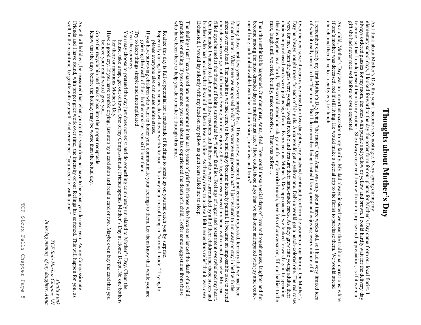## Thoughts about Mother's Day **Thoughts about Mother's Day**

As I think about Mother's Day this year I become very nostalgic. Every spring during my elementary school days, I looked forward to the day the order form for our plants for Mother'

gift she had never received before or even expected gift she had never received before or even expected. to come, so that I could present them to my mother. She always received them with much surprise and appreciation, as if it were a always ordered pansies for my mom, the ones with purple and yellow or yellow and brown. I could hardly wait for the delivery day s Day came from our local florist. I

church, and then drive to a nearby city for lunch. church, and then drive to a nearby city for lunch. if one'As a child, Mother s mother was deceased, red if still living. He would make a special trip to the florist to purchase them. We would attend s Day was an important occasion to my family. My dad always insisted we wear the traditional carnations: white

I remember clearly my first Mother 's Day being "the mom." Our Anna was only about three weeks old, so I had a very limited idea of what it really meant to be "the mom." But I do remember being treated like a queen and enjoying every minute of it.

Over the next several years as we raised our two daughters, my husband continued to affirm the women of our family. On Mother's Day he always bought roses for each of his girls. Anna would get a yellow one. Debbie would get a peachcolored one. The red roses were for me. When the girls were young I would receive and treasure their handmade cards. As they grew into young adults, their choices in purchased cards were just as significant. Every year as Mother's Day approached, we looked forward again to spending the day together as a family. We would attend church, go out for my favorite brunch, have lots of conversation, fill our bellies te<br>te max, laugh until we cried, be silly, make memories... That was before…

Then the unthinkable happened. Our daughter, Anna, died. How could those special days of love and togetherness, laughter and fun<br>become among the most dreaded days a mother must face? How could those days that we had once ment bring such unbelievable heartache and confusion, loneliness and tears? become among the most dreaded days a mother must face? How could those days that we had once anticipated with joy and excite-Then the unthinkable happened. Our daughter, Anna, died. How could those special days of love and togetherness, laughter and fun

church services or go out for brunch. Seeing families enjoying their togetherness pierced my heart with an endiess ache. My tear-<br>filled eyes burned at the thought of being surrounded by "intact" families. Feelings of ang Exhausted, I would lay silently with my head on my pillow as quiet tears lulled me to sleep. Exhausted, I would lay silently with my head on my pillow as quiet tears lulled me to sleep. brothers who had no clue what it would be like to lose a sibling. As the day drew to a close I felt tremendous relief that it was over. brothers who had no clue what it would be like to lose a sibling. As the day drew to a close I felt tremendous relief that it On the inside I wanted to lash out at all those mothers and fathers who were surrounded by all of their children and those sisters and cuutu is ervices of go out tot of unctil. Secing rannities enjoying then togetheritiess pieteed ury treat will an entities actic, wy teart.<br>filled eyes burned at the thought of being surrounded by "intact" families. Feelin church services or go out for brunch. Seeing families einique is their togetherness pierced my heart with an endless ache. My tear sheets over my head. The traditions we had come to love and enjoy became intensely painful. It became an impossible task to a forced to enter. What were we supposed to do? How were we supposed to act? I just wanted to run away or stay in bed with the During those first few years we were simply lost. This was new, undesired, and certainly not requested, territory that we had was over. been ttend

The feelings that I have shared are not uncommon in the early years of grief with those who have experienced the death of a child, grandchild or sibling. If you or someone you care about has experienced the death of a chi who have been there to help you do to make it through this time. who have been there to help you do to make it through this time. grandchild or sibling. If you or someone you care about has experienced the death of a child, I offer some suggestions from those The feelings that I have shared are not uncommon in the early years of grief with those who have experienced the death of a  $\alpha$ 

Especially during those early years, do whatever works for you. This may be a time of being in Especially during those early years, do whatever works for you. This may be a time of being in Realize this day is full of potential for a multitude of feelings to sneak up on you and catch you by surprise. "survival mode." Trying to

- please everyone else can cause undue stress. please everyone else can cause undue stress.
- If you have surviving children who want to honor you, communicate your feelings to them. Let them know that while you are If you have surviving children who want to honor you, communicate your feelings to them. Let them know that while you are grieving the death of their brother or sister, you still love them. grieving the death of their brother or sister, you still love them.
- Try to keep things simple and uncomplicated. Try to keep things simple and uncomplicated.
- Visit the cemetery. ≺ isit the cemetery.
- You may choose to pretend the day just does not exist and do something completely unrelated to Mother You may choose to pretend the day just does not exist and do something completely unrelated to Mother's Day. Clean the s Day. Clean the house, take a nap, get out of town. One of my Compassionate Friends spends Motherhouse, take a nap, get out of town. One of my Compassionate Friends spends Mother's Day at Home Depot. No one bothers s Day at Home Depot. No one bothers
- Have a good cry. If you have trouble crying, just stop by a card shop and read a card or two. Maybe even buy the card that you Have a good cry. If you have trouble crying, just stop by a card shop and read a card or two. Maybe even buy the card that you her there or mentions Mother's Day.
- Go to the recycle bin and break glass into the proper receptacle Go to the recycle bin and break glass into the proper receptacle. believe your child would give you. believe your child would give you.
- Know that the days before the holiday may be worse than the actual day Know that the days before the holiday may be worse than the actual day.
- 

well. In the meantime, be gentle with yourself. And remember, Friends and I have found, with proper grief work over time, the intensity of our feelings has softened. This will happen for As with all holidays, be reassured that what you do this year does not have to be what you do next year. As my Compassionate As with all holidays, be reassured that what you do this year does not have to be what you do next year. As my Compassionate "you need not walk alone." you, as

*In loving memory of my daughter, Anna*Ţ loving memory of my daughter, Anna TCF Safe Harbor Chapter, MI *TCF Safe Harbor Chapter, MI Paula Funk* Paula Funk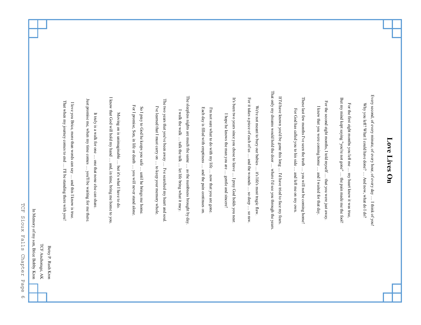#### That only my dreams would hold the door ... where I'd see you through the years That only my dreams would hold the door Every second, of every minute, of every hour, of every day ... I think of you! Every second, of every minute, of every hour, of every day The sleepless nights are much the same ... as the numbness brought by day If I'd have known you'd be gone this long ... I'd have tried to face my fears. The sleepless nights are much the same If I'd have known you'd be gone this long I know that God will hold my hand ... and, in time, bring me home to you. I know that God will hold my hand For it takes a piece of each of us ... and the wounds ... so deep ... so raw. These last few months I've seen the truth ... you will not be coming home! It's been two years since you chose to leave ... I pray God holds you near. For it takes a piece of each of us These last few months I've seen the truth But my mind kept saying "you're not gone" ... the pain made me the fool! Just promise me, when my time comes ... you'll be waiting for me there. The two years that you've been away ... I've searched my heart and soul. It's been two years since you chose to leave But my mind kept saying "you're not gone" Just promise me, when my time comes The two years that you've been away That when my journey comes to end ... I'll be standing there with you! For the second eight months, I told myself ... that you were just away That when my journey comes to end I love you Brice, more than words can say ... and this I know is true. For the second eight months, I told myself I love you Brice, more than words can say For the first eight months you left me ... my heart knew it was true, Why you left? What I could have done? ... And now, what do I do? Why you left? What I could have done? For the first eight months you left me For I promise, Son, in life or death ... you will never stand alone For I promise, Son, in life or death I've learned that I must carry on ... to keep your memory whole. We're not meant to bury our babies ... it's life's most tragic flaw We're not meant to bury our babies I knew that you were coming home ... and I waited for that day. So I pray to God he keeps you safe ... until he brings me home. I've learned that I must carry on I knew that you were coming home So I pray to God he keeps you safe Each day is filled with emptiness ... and the pain continues on Each day is filled with emptiness I'm not sure what to do with my life ... now that you are gone. I'm not sure what to do with my life For God has called you to his side ... and left me on my own. For God has called you to his side I walk the walk  $\ldots$  talk the talk  $\ldots$  let life bring what it may. I walk the walk It truly is a walk for one ... one that none else can share. Moving on is unimaginable ... but it's what I have to do. It truly is a walk for one Moving on is unimaginable I hope he knows the man you are ... gentle and sincere! I hope he knows the man you are talk the talk … … … and the wounds one that none else can share. … but it's what I have to do. … and, in time, bring me home to you. … … … … … … … to keep your memory whole. … … I've searched my heart and soul. … … … … let life bring what it may. … I'll be standing there with you! where I'd see you through the years. as the numbness brought by day. and the pain continues on. … you will never stand alone. you'll be waiting for me there. … it's life's most tragic flaw. until he brings me home. and left me on my own. and I waited for that day. … … I'd have tried to face my fears. you will not be coming home! … my heart knew it was true, now that you are gone. … … gentle and sincere! And now, what do I do? I pray God holds you near. the pain made me the fool! that you were just away. and this I know is true. … … I think of you! … so raw. TCF Anchorage, AK TCF Anchorage, AK Betsy P. Rush Kron Betsy P. Rush Kron

**Love Lives On**

Love Lives On

**HOF** TCF Sioux Falls Chapter Page 6 Sioux Falls Chapter Page  $\circ$ 

In Memory of my son, Brice Bobby Kron In Memory of my son, Brice Bobby Kron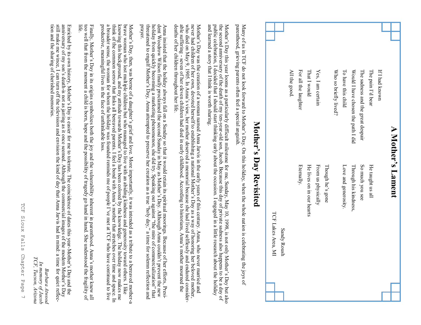| $\blacktriangleright$                                                                                                                                                                                                                                                                        | Mother's Lament                                                                                                                                                                                                                                                                                                                                                                                                       |
|----------------------------------------------------------------------------------------------------------------------------------------------------------------------------------------------------------------------------------------------------------------------------------------------|-----------------------------------------------------------------------------------------------------------------------------------------------------------------------------------------------------------------------------------------------------------------------------------------------------------------------------------------------------------------------------------------------------------------------|
| If I had known                                                                                                                                                                                                                                                                               |                                                                                                                                                                                                                                                                                                                                                                                                                       |
| The pain I'd bear                                                                                                                                                                                                                                                                            | He taught us all                                                                                                                                                                                                                                                                                                                                                                                                      |
| The sadness and the great despair                                                                                                                                                                                                                                                            | So much you see                                                                                                                                                                                                                                                                                                                                                                                                       |
| Would I have chosen the path I did                                                                                                                                                                                                                                                           | Through his kindness,                                                                                                                                                                                                                                                                                                                                                                                                 |
| To have this child                                                                                                                                                                                                                                                                           | Love and generosity.                                                                                                                                                                                                                                                                                                                                                                                                  |
| Who so briefly lived?                                                                                                                                                                                                                                                                        |                                                                                                                                                                                                                                                                                                                                                                                                                       |
|                                                                                                                                                                                                                                                                                              | Though he's gone                                                                                                                                                                                                                                                                                                                                                                                                      |
| Yes, I am certain                                                                                                                                                                                                                                                                            | From us physically                                                                                                                                                                                                                                                                                                                                                                                                    |
| That I would                                                                                                                                                                                                                                                                                 | He lives on in our hearts                                                                                                                                                                                                                                                                                                                                                                                             |
| For all the laughter                                                                                                                                                                                                                                                                         | <b>Eternally</b> .                                                                                                                                                                                                                                                                                                                                                                                                    |
| All the good.                                                                                                                                                                                                                                                                                |                                                                                                                                                                                                                                                                                                                                                                                                                       |
|                                                                                                                                                                                                                                                                                              | TCF Lakes Area, MI<br><b>Sandy Roush</b>                                                                                                                                                                                                                                                                                                                                                                              |
|                                                                                                                                                                                                                                                                                              | Mother's Day Revisited                                                                                                                                                                                                                                                                                                                                                                                                |
| parenthood, grieving parents often feel a special anguish.<br>Namy of EC HOL 31 September 2014 of September 3 September 2015 September 2015 September 2015 September 2015 September 2015 September 2015 September 2015 September 2015 September 2015 September 2015 September 2015 September | the joys of                                                                                                                                                                                                                                                                                                                                                                                                           |
| public celebration, I decided that I should start thinking early about the occasion. I engaged in a little research a<br>and learned a story that I think is worth sharing.                                                                                                                  | the second anniversary of the death of my ten-year-old son, Jacob. Because this day of private sadness also happens to be a day of<br>Mother's Day this year looms as a particularly difficult milestone for me, Sunday, May 10, 1998, is not only Mother's Day but also<br>bout the holiday                                                                                                                          |
| who died on May 9, 1905. In Anna's view, her mother deserved a memorial because she had lived selflessly and<br>deaths of her children throughout her life.                                                                                                                                  | never had children of her own, devoted herself to establishing a national Mother's Day as a way of honoring her beloved mother,<br>able suffering - seven of her eleven children had died in early childhood. According to historians, Anna's mother mourned the<br>Mother's Day was the creation of a woman named Anna Jarvis in the early years of this century. Anna, who never married and<br>l endured consider- |
| Anna insisted that the holiday always fall on a Sunday so that it would retain its spiritual moorings. Because of<br>dent Woodrow Wilson finally proclaimed the second Sunday in May as Mother's Day. Although Anna couldn't<br>prayer.                                                      | holiday from quickly becoming a marketing phenomenon, she did try. Speaking out against "the mire of commercialization" that<br>threatened to engulf Mother's Day, Anna attempted to preserve her creation as a true "holy day,"<br>her efforts, Presi-<br>mn reflection and<br>prevent the new                                                                                                                       |
|                                                                                                                                                                                                                                                                                              | Draxe xoman xho lost multiple children but xho manaed to live xith an abiding kindness and generosity toward others. I like<br>Mother's Day, then, was borne of a daughter's grief and love. More importantly, it was intended as a tribute to a bereaved mother-a                                                                                                                                                    |

productive, meaningful lives in the face of unthinkable loss. productive, meaningful lives in the face of unthinkable loss. a broader sense, the woman for whom the holiday was founded reminds me of people Ithink of the common sorrow that links all bereaved parents. I feel a bond with Annaknowing this background, and my attitude towards Mother brave woman who lost multiple children but who managed to live with an abiding kindness and generosity toward others. I like Mother s Day has been colored by the knowledge. The holiday now makes me 's mother that stretches over time and space. In 've met at TCF who have continued to live  $\frac{1}{2}$ 

Finally, Mother s Day in its origins symbolizes both the joy and the vulnerability inherent in parenthood. Anna's mother knew all too well that from the moment a child is born, hope and the possibility of tragedy go hand in hand. She understood the fragility of life.

tion and the sharing of cherished memories tion and the sharing of cherished memories. still make me wince, I can turn off the television and envision the Kind of day that Anna Jarvis had in mind: a time for quiet reflecanniversary of my sonEnriched by its own history, Mother 's deathis not as jarring as it once seemed. Although the commercial images of the modern Mothers Day is easier for me to tolerate. The coincidence of dates this year-Mother's Day and the 's Day

*Barbara Atwood In memory of Jacob TCF, Tucson, Arizona*

In memory of Jacob<br>TCF, Tucson, Arizona Barbara Atwood